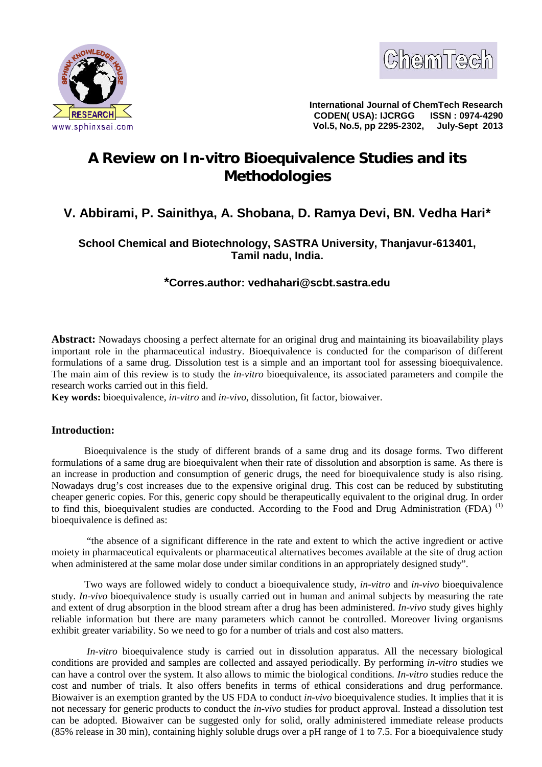



**International Journal of ChemTech Research CODEN( USA): IJCRGG Vol.5, No.5, pp 2295-2302, July-Sept 2013**

# **A Review on** *In-vitro* **Bioequivalence Studies and its Methodologies**

# **V. Abbirami, P. Sainithya, A. Shobana, D. Ramya Devi, BN. Vedha Hari\***

# **School Chemical and Biotechnology, SASTRA University, Thanjavur-613401, Tamil nadu, India.**

# **\*Corres.author: vedhahari@scbt.sastra.edu**

**Abstract:** Nowadays choosing a perfect alternate for an original drug and maintaining its bioavailability plays important role in the pharmaceutical industry. Bioequivalence is conducted for the comparison of different formulations of a same drug. Dissolution test is a simple and an important tool for assessing bioequivalence. The main aim of this review is to study the *in-vitro* bioequivalence, its associated parameters and compile the research works carried out in this field.

**Key words:** bioequivalence, *in-vitro* and *in-vivo*, dissolution, fit factor, biowaiver.

## **Introduction:**

Bioequivalence is the study of different brands of a same drug and its dosage forms. Two different formulations of a same drug are bioequivalent when their rate of dissolution and absorption is same. As there is an increase in production and consumption of generic drugs, the need for bioequivalence study is also rising. Nowadays drug's cost increases due to the expensive original drug. This cost can be reduced by substituting cheaper generic copies. For this, generic copy should be therapeutically equivalent to the original drug. In order to find this, bioequivalent studies are conducted. According to the Food and Drug Administration (FDA) (1) bioequivalence is defined as:

 "the absence of a significant difference in the rate and extent to which the active ingredient or active moiety in pharmaceutical equivalents or pharmaceutical alternatives becomes available at the site of drug action when administered at the same molar dose under similar conditions in an appropriately designed study".

Two ways are followed widely to conduct a bioequivalence study, *in-vitro* and *in-vivo* bioequivalence study. *In-vivo* bioequivalence study is usually carried out in human and animal subjects by measuring the rate and extent of drug absorption in the blood stream after a drug has been administered. *In-vivo* study gives highly reliable information but there are many parameters which cannot be controlled. Moreover living organisms exhibit greater variability. So we need to go for a number of trials and cost also matters.

*In-vitro* bioequivalence study is carried out in dissolution apparatus. All the necessary biological conditions are provided and samples are collected and assayed periodically. By performing *in-vitro* studies we can have a control over the system. It also allows to mimic the biological conditions*. In-vitro* studies reduce the cost and number of trials. It also offers benefits in terms of ethical considerations and drug performance. Biowaiver is an exemption granted by the US FDA to conduct *in-vivo* bioequivalence studies. It implies that it is not necessary for generic products to conduct the *in-vivo* studies for product approval. Instead a dissolution test can be adopted. Biowaiver can be suggested only for solid, orally administered immediate release products (85% release in 30 min), containing highly soluble drugs over a pH range of 1 to 7.5. For a bioequivalence study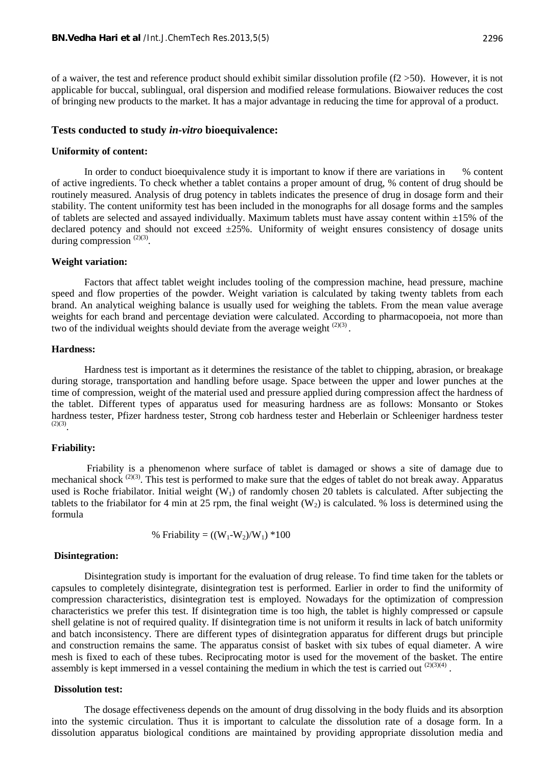of a waiver, the test and reference product should exhibit similar dissolution profile ( $f2 > 50$ ). However, it is not applicable for buccal, sublingual, oral dispersion and modified release formulations. Biowaiver reduces the cost of bringing new products to the market. It has a major advantage in reducing the time for approval of a product.

#### **Tests conducted to study** *in-vitro* **bioequivalence:**

#### **Uniformity of content:**

In order to conduct bioequivalence study it is important to know if there are variations in % content of active ingredients. To check whether a tablet contains a proper amount of drug, % content of drug should be routinely measured. Analysis of drug potency in tablets indicates the presence of drug in dosage form and their stability. The content uniformity test has been included in the monographs for all dosage forms and the samples of tablets are selected and assayed individually. Maximum tablets must have assay content within  $\pm 15\%$  of the declared potency and should not exceed  $\pm 25\%$ . Uniformity of weight ensures consistency of dosage units during compression  $(2)(3)$ .

#### **Weight variation:**

Factors that affect tablet weight includes tooling of the compression machine, head pressure, machine speed and flow properties of the powder. Weight variation is calculated by taking twenty tablets from each brand. An analytical weighing balance is usually used for weighing the tablets. From the mean value average weights for each brand and percentage deviation were calculated. According to pharmacopoeia, not more than two of the individual weights should deviate from the average weight  $(2)(3)$ .

#### **Hardness:**

Hardness test is important as it determines the resistance of the tablet to chipping, abrasion, or breakage during storage, transportation and handling before usage. Space between the upper and lower punches at the time of compression, weight of the material used and pressure applied during compression affect the hardness of the tablet. Different types of apparatus used for measuring hardness are as follows: Monsanto or Stokes hardness tester, Pfizer hardness tester, Strong cob hardness tester and Heberlain or Schleeniger hardness tester  $(2)(3)$ 

#### **Friability:**

 Friability is a phenomenon where surface of tablet is damaged or shows a site of damage due to mechanical shock (2)(3). This test is performed to make sure that the edges of tablet do not break away. Apparatus used is Roche friabilator. Initial weight  $(W_1)$  of randomly chosen 20 tablets is calculated. After subjecting the tablets to the friabilator for 4 min at 25 rpm, the final weight  $(W_2)$  is calculated. % loss is determined using the formula

% Friability = 
$$
((W_1-W_2)/W_1) * 100
$$

#### **Disintegration:**

Disintegration study is important for the evaluation of drug release. To find time taken for the tablets or capsules to completely disintegrate, disintegration test is performed. Earlier in order to find the uniformity of compression characteristics, disintegration test is employed. Nowadays for the optimization of compression characteristics we prefer this test. If disintegration time is too high, the tablet is highly compressed or capsule shell gelatine is not of required quality. If disintegration time is not uniform it results in lack of batch uniformity and batch inconsistency. There are different types of disintegration apparatus for different drugs but principle and construction remains the same. The apparatus consist of basket with six tubes of equal diameter. A wire mesh is fixed to each of these tubes. Reciprocating motor is used for the movement of the basket. The entire assembly is kept immersed in a vessel containing the medium in which the test is carried out  $(2)(3)(4)$ .

#### **Dissolution test:**

The dosage effectiveness depends on the amount of drug dissolving in the body fluids and its absorption into the systemic circulation. Thus it is important to calculate the dissolution rate of a dosage form. In a dissolution apparatus biological conditions are maintained by providing appropriate dissolution media and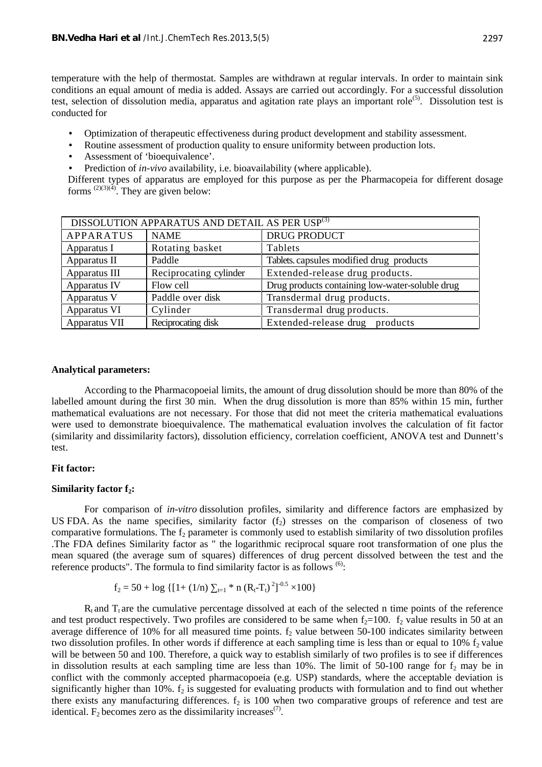temperature with the help of thermostat. Samples are withdrawn at regular intervals. In order to maintain sink conditions an equal amount of media is added. Assays are carried out accordingly. For a successful dissolution test, selection of dissolution media, apparatus and agitation rate plays an important role<sup>(5)</sup>. Dissolution test is conducted for

- Optimization of therapeutic effectiveness during product development and stability assessment.
- Routine assessment of production quality to ensure uniformity between production lots.
- Assessment of 'bioequivalence'.
- Prediction of *in-vivo* availability, i.e. bioavailability (where applicable).

Different types of apparatus are employed for this purpose as per the Pharmacopeia for different dosage forms  $^{(2)(3)(4)}$ . They are given below:

| DISSOLUTION APPARATUS AND DETAIL AS PER USP(3) |                        |                                                 |
|------------------------------------------------|------------------------|-------------------------------------------------|
| <b>APPARATUS</b>                               | <b>NAME</b>            | <b>DRUG PRODUCT</b>                             |
| Apparatus I                                    | Rotating basket        | Tablets                                         |
| Apparatus II                                   | Paddle                 | Tablets. capsules modified drug products        |
| Apparatus III                                  | Reciprocating cylinder | Extended-release drug products.                 |
| Apparatus IV                                   | Flow cell              | Drug products containing low-water-soluble drug |
| Apparatus V                                    | Paddle over disk       | Transdermal drug products.                      |
| Apparatus VI                                   | Cylinder               | Transdermal drug products.                      |
| Apparatus VII                                  | Reciprocating disk     | Extended-release drug products                  |

#### **Analytical parameters:**

According to the Pharmacopoeial limits, the amount of drug dissolution should be more than 80% of the labelled amount during the first 30 min. When the drug dissolution is more than 85% within 15 min, further mathematical evaluations are not necessary. For those that did not meet the criteria mathematical evaluations were used to demonstrate bioequivalence. The mathematical evaluation involves the calculation of fit factor (similarity and dissimilarity factors), dissolution efficiency, correlation coefficient, ANOVA test and Dunnett's test.

## **Fit factor:**

#### **Similarity factor f2:**

For comparison of *in-vitro* dissolution profiles, similarity and difference factors are emphasized by US FDA. As the name specifies, similarity factor  $(f_2)$  stresses on the comparison of closeness of two comparative formulations. The  $f_2$  parameter is commonly used to establish similarity of two dissolution profiles .The FDA defines Similarity factor as " the logarithmic reciprocal square root transformation of one plus the mean squared (the average sum of squares) differences of drug percent dissolved between the test and the reference products". The formula to find similarity factor is as follows  $(6)$ :

$$
f_2 = 50 + \log \{ [1 + (1/n)_{t=1} * n (R_t-T_t)^2]^{-0.5} \times 100 \}
$$

 $R_t$  and  $T_t$  are the cumulative percentage dissolved at each of the selected n time points of the reference and test product respectively. Two profiles are considered to be same when  $f_2=100$ .  $f_2$  value results in 50 at an average difference of 10% for all measured time points.  $f_2$  value between 50-100 indicates similarity between two dissolution profiles. In other words if difference at each sampling time is less than or equal to  $10\%$  f<sub>2</sub> value will be between 50 and 100. Therefore, a quick way to establish similarly of two profiles is to see if differences in dissolution results at each sampling time are less than 10%. The limit of 50-100 range for  $f_2$  may be in conflict with the commonly accepted pharmacopoeia (e.g. USP) standards, where the acceptable deviation is significantly higher than 10%.  $f_2$  is suggested for evaluating products with formulation and to find out whether there exists any manufacturing differences.  $f_2$  is 100 when two comparative groups of reference and test are identical.  $F_2$  becomes zero as the dissimilarity increases<sup>(7)</sup>.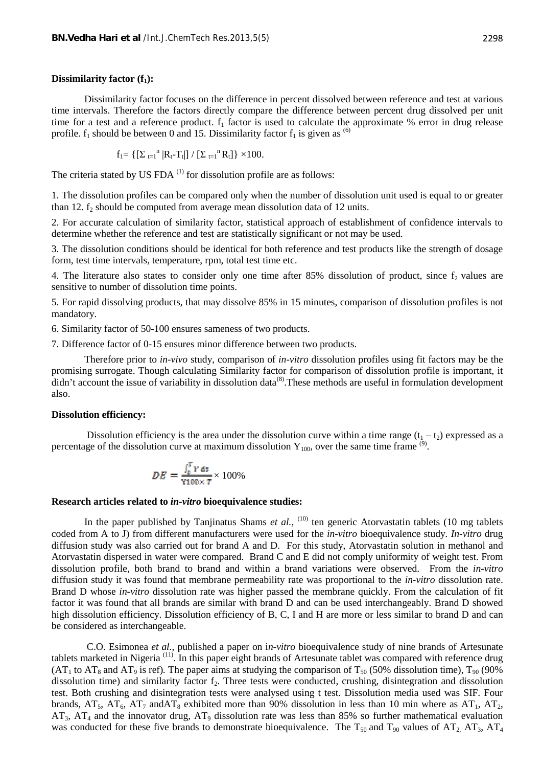#### **Dissimilarity factor (f1):**

Dissimilarity factor focuses on the difference in percent dissolved between reference and test at various time intervals. Therefore the factors directly compare the difference between percent drug dissolved per unit time for a test and a reference product.  $f_1$  factor is used to calculate the approximate % error in drug release profile.  $f_1$  should be between 0 and 15. Dissimilarity factor  $f_1$  is given as <sup>(6)</sup>

$$
f_1 = \left\{ \left[ \begin{array}{cc} \mathbf{1}_{t=1}^n | \mathbf{R}_t - \mathbf{T}_t | \end{array} \right] / \left[ \begin{array}{cc} \mathbf{1}_{t=1}^n \mathbf{R}_t \end{array} \right] \right\} \times 100.
$$

The criteria stated by US FDA $^{(1)}$  for dissolution profile are as follows:

1. The dissolution profiles can be compared only when the number of dissolution unit used is equal to or greater than 12.  $f_2$  should be computed from average mean dissolution data of 12 units.

2. For accurate calculation of similarity factor, statistical approach of establishment of confidence intervals to determine whether the reference and test are statistically significant or not may be used.

3. The dissolution conditions should be identical for both reference and test products like the strength of dosage form, test time intervals, temperature, rpm, total test time etc.

4. The literature also states to consider only one time after 85% dissolution of product, since f<sub>2</sub> values are sensitive to number of dissolution time points.

5. For rapid dissolving products, that may dissolve 85% in 15 minutes, comparison of dissolution profiles is not mandatory.

6. Similarity factor of 50-100 ensures sameness of two products.

7. Difference factor of 0-15 ensures minor difference between two products.

Therefore prior to *in-vivo* study, comparison of *in-vitro* dissolution profiles using fit factors may be the promising surrogate. Though calculating Similarity factor for comparison of dissolution profile is important, it didn't account the issue of variability in dissolution data<sup>(8)</sup>. These methods are useful in formulation development also.

### **Dissolution efficiency:**

Dissolution efficiency is the area under the dissolution curve within a time range  $(t_1 - t_2)$  expressed as a percentage of the dissolution curve at maximum dissolution  $Y_{100}$ , over the same time frame  $^{(9)}$ .

$$
DE = \frac{\int_0^T Y \, dt}{Y100 \times T} \times 100\%
$$

#### **Research articles related to** *in-vitro* **bioequivalence studies:**

In the paper published by Tanjinatus Shams *et al.*, <sup>(10)</sup> ten generic Atorvastatin tablets (10 mg tablets coded from A to J) from different manufacturers were used for the *in-vitro* bioequivalence study*. In-vitro* drug diffusion study was also carried out for brand A and D. For this study, Atorvastatin solution in methanol and Atorvastatin dispersed in water were compared. Brand C and E did not comply uniformity of weight test. From dissolution profile, both brand to brand and within a brand variations were observed. From the *in-vitro* diffusion study it was found that membrane permeability rate was proportional to the *in-vitro* dissolution rate. Brand D whose *in-vitro* dissolution rate was higher passed the membrane quickly. From the calculation of fit factor it was found that all brands are similar with brand D and can be used interchangeably. Brand D showed high dissolution efficiency. Dissolution efficiency of B, C, I and H are more or less similar to brand D and can be considered as interchangeable.

C.O. Esimonea *et al.,* published a paper on i*n-vitro* bioequivalence study of nine brands of Artesunate tablets marketed in Nigeria (11). In this paper eight brands of Artesunate tablet was compared with reference drug  $(AT<sub>1</sub>$  to  $AT<sub>8</sub>$  and  $AT<sub>9</sub>$  is ref). The paper aims at studying the comparison of  $T<sub>50</sub>$  (50% dissolution time),  $T<sub>90</sub>$  (90%) dissolution time) and similarity factor  $f<sub>2</sub>$ . Three tests were conducted, crushing, disintegration and dissolution test. Both crushing and disintegration tests were analysed using t test. Dissolution media used was SIF. Four brands,  $AT_5$ ,  $AT_6$ ,  $AT_7$  and  $AT_8$  exhibited more than 90% dissolution in less than 10 min where as  $AT_1$ ,  $AT_2$ ,  $AT_3$ ,  $AT_4$  and the innovator drug,  $AT_9$  dissolution rate was less than 85% so further mathematical evaluation was conducted for these five brands to demonstrate bioequivalence. The  $T_{50}$  and  $T_{90}$  values of  $AT_2$ ,  $AT_3$ ,  $AT_4$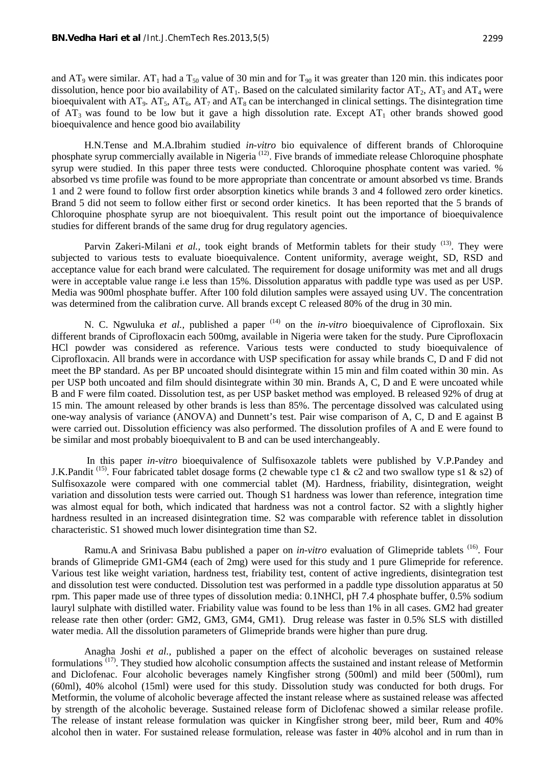and  $AT_9$  were similar.  $AT_1$  had a  $T_{50}$  value of 30 min and for  $T_{90}$  it was greater than 120 min. this indicates poor dissolution, hence poor bio availability of  $AT_1$ . Based on the calculated similarity factor  $AT_2$ ,  $AT_3$  and  $AT_4$  were bioequivalent with  $AT_9$ .  $AT_5$ ,  $AT_6$ ,  $AT_7$  and  $AT_8$  can be interchanged in clinical settings. The disintegration time of  $AT_3$  was found to be low but it gave a high dissolution rate. Except  $AT_1$  other brands showed good bioequivalence and hence good bio availability

H.N.Tense and M.A.Ibrahim studied *in-vitro* bio equivalence of different brands of Chloroquine phosphate syrup commercially available in Nigeria (12). Five brands of immediate release Chloroquine phosphate syrup were studied. In this paper three tests were conducted. Chloroquine phosphate content was varied. % absorbed vs time profile was found to be more appropriate than concentrate or amount absorbed vs time. Brands 1 and 2 were found to follow first order absorption kinetics while brands 3 and 4 followed zero order kinetics. Brand 5 did not seem to follow either first or second order kinetics. It has been reported that the 5 brands of Chloroquine phosphate syrup are not bioequivalent. This result point out the importance of bioequivalence studies for different brands of the same drug for drug regulatory agencies.

Parvin Zakeri-Milani *et al.*, took eight brands of Metformin tablets for their study <sup>(13)</sup>. They were subjected to various tests to evaluate bioequivalence. Content uniformity, average weight, SD, RSD and acceptance value for each brand were calculated. The requirement for dosage uniformity was met and all drugs were in acceptable value range i.e less than 15%. Dissolution apparatus with paddle type was used as per USP. Media was 900ml phosphate buffer. After 100 fold dilution samples were assayed using UV. The concentration was determined from the calibration curve. All brands except C released 80% of the drug in 30 min.

N. C. Ngwuluka *et al.,* published a paper <sup>(14)</sup> on the *in-vitro* bioequivalence of Ciprofloxain. Six different brands of Ciprofloxacin each 500mg, available in Nigeria were taken for the study. Pure Ciprofloxacin HCl powder was considered as reference. Various tests were conducted to study bioequivalence of Ciprofloxacin. All brands were in accordance with USP specification for assay while brands C, D and F did not meet the BP standard. As per BP uncoated should disintegrate within 15 min and film coated within 30 min. As per USP both uncoated and film should disintegrate within 30 min. Brands A, C, D and E were uncoated while B and F were film coated. Dissolution test, as per USP basket method was employed. B released 92% of drug at 15 min. The amount released by other brands is less than 85%. The percentage dissolved was calculated using one-way analysis of variance (ANOVA) and Dunnett's test. Pair wise comparison of A, C, D and E against B were carried out. Dissolution efficiency was also performed. The dissolution profiles of A and E were found to be similar and most probably bioequivalent to B and can be used interchangeably.

 In this paper *in-vitro* bioequivalence of Sulfisoxazole tablets were published by V.P.Pandey and J.K.Pandit<sup>(15)</sup>. Four fabricated tablet dosage forms (2 chewable type c1 & c2 and two swallow type s1 & s2) of Sulfisoxazole were compared with one commercial tablet (M). Hardness, friability, disintegration, weight variation and dissolution tests were carried out. Though S1 hardness was lower than reference, integration time was almost equal for both, which indicated that hardness was not a control factor. S2 with a slightly higher hardness resulted in an increased disintegration time. S2 was comparable with reference tablet in dissolution characteristic. S1 showed much lower disintegration time than S2.

Ramu.A and Srinivasa Babu published a paper on *in-vitro* evaluation of Glimepride tablets <sup>(16)</sup>. Four brands of Glimepride GM1-GM4 (each of 2mg) were used for this study and 1 pure Glimepride for reference. Various test like weight variation, hardness test, friability test, content of active ingredients, disintegration test and dissolution test were conducted. Dissolution test was performed in a paddle type dissolution apparatus at 50 rpm. This paper made use of three types of dissolution media: 0.1NHCl, pH 7.4 phosphate buffer, 0.5% sodium lauryl sulphate with distilled water. Friability value was found to be less than 1% in all cases. GM2 had greater release rate then other (order: GM2, GM3, GM4, GM1). Drug release was faster in 0.5% SLS with distilled water media. All the dissolution parameters of Glimepride brands were higher than pure drug.

Anagha Joshi *et al.,* published a paper on the effect of alcoholic beverages on sustained release formulations (17). They studied how alcoholic consumption affects the sustained and instant release of Metformin and Diclofenac. Four alcoholic beverages namely Kingfisher strong (500ml) and mild beer (500ml), rum (60ml), 40% alcohol (15ml) were used for this study. Dissolution study was conducted for both drugs. For Metformin, the volume of alcoholic beverage affected the instant release where as sustained release was affected by strength of the alcoholic beverage. Sustained release form of Diclofenac showed a similar release profile. The release of instant release formulation was quicker in Kingfisher strong beer, mild beer, Rum and 40% alcohol then in water. For sustained release formulation, release was faster in 40% alcohol and in rum than in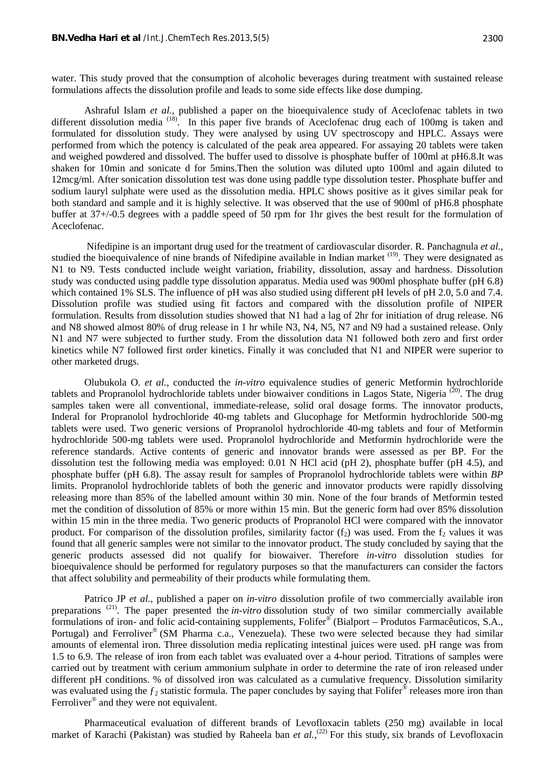water. This study proved that the consumption of alcoholic beverages during treatment with sustained release formulations affects the dissolution profile and leads to some side effects like dose dumping.

Ashraful Islam *et al.,* published a paper on the bioequivalence study of Aceclofenac tablets in two different dissolution media (18). In this paper five brands of Aceclofenac drug each of 100mg is taken and formulated for dissolution study. They were analysed by using UV spectroscopy and HPLC. Assays were performed from which the potency is calculated of the peak area appeared. For assaying 20 tablets were taken and weighed powdered and dissolved. The buffer used to dissolve is phosphate buffer of 100ml at pH6.8.It was shaken for 10min and sonicate d for 5mins.Then the solution was diluted upto 100ml and again diluted to 12mcg/ml. After sonication dissolution test was done using paddle type dissolution tester. Phosphate buffer and sodium lauryl sulphate were used as the dissolution media. HPLC shows positive as it gives similar peak for both standard and sample and it is highly selective. It was observed that the use of 900ml of pH6.8 phosphate buffer at 37+/-0.5 degrees with a paddle speed of 50 rpm for 1hr gives the best result for the formulation of Aceclofenac.

Nifedipine is an important drug used for the treatment of cardiovascular disorder. R. Panchagnula *et al.,* studied the bioequivalence of nine brands of Nifedipine available in Indian market <sup>(19)</sup>. They were designated as N1 to N9. Tests conducted include weight variation, friability, dissolution, assay and hardness. Dissolution study was conducted using paddle type dissolution apparatus. Media used was 900ml phosphate buffer (pH 6.8) which contained 1% SLS. The influence of pH was also studied using different pH levels of pH 2.0, 5.0 and 7.4. Dissolution profile was studied using fit factors and compared with the dissolution profile of NIPER formulation. Results from dissolution studies showed that N1 had a lag of 2hr for initiation of drug release. N6 and N8 showed almost 80% of drug release in 1 hr while N3, N4, N5, N7 and N9 had a sustained release. Only N1 and N7 were subjected to further study. From the dissolution data N1 followed both zero and first order kinetics while N7 followed first order kinetics. Finally it was concluded that N1 and NIPER were superior to other marketed drugs.

Olubukola O. *et al.,* conducted the *in-vitro* equivalence studies of generic Metformin hydrochloride tablets and Propranolol hydrochloride tablets under biowaiver conditions in Lagos State, Nigeria  $(20)$ . The drug samples taken were all conventional, immediate-release, solid oral dosage forms. The innovator products, Inderal for Propranolol hydrochloride 40-mg tablets and Glucophage for Metformin hydrochloride 500-mg tablets were used. Two generic versions of Propranolol hydrochloride 40-mg tablets and four of Metformin hydrochloride 500-mg tablets were used. Propranolol hydrochloride and Metformin hydrochloride were the reference standards. Active contents of generic and innovator brands were assessed as per BP. For the dissolution test the following media was employed: 0.01 N HCl acid (pH 2), phosphate buffer (pH 4.5), and phosphate buffer (pH 6.8). The assay result for samples of Propranolol hydrochloride tablets were within *BP* limits. Propranolol hydrochloride tablets of both the generic and innovator products were rapidly dissolving releasing more than 85% of the labelled amount within 30 min. None of the four brands of Metformin tested met the condition of dissolution of 85% or more within 15 min. But the generic form had over 85% dissolution within 15 min in the three media. Two generic products of Propranolol HCl were compared with the innovator product. For comparison of the dissolution profiles, similarity factor  $(f_2)$  was used. From the  $f_2$  values it was found that all generic samples were not similar to the innovator product. The study concluded by saying that the generic products assessed did not qualify for biowaiver. Therefore *in-vitro* dissolution studies for bioequivalence should be performed for regulatory purposes so that the manufacturers can consider the factors that affect solubility and permeability of their products while formulating them.

Patrico JP *et al.,* published a paper on *in-vitro* dissolution profile of two commercially available iron preparations (21). The paper presented the *in-vitro* dissolution study of two similar commercially available formulations of iron- and folic acid-containing supplements, Folifer® (Bialport – Produtos Farmacêuticos, S.A., Portugal) and Ferroliver<sup>®</sup> (SM Pharma c.a., Venezuela). These two were selected because they had similar amounts of elemental iron. Three dissolution media replicating intestinal juices were used. pH range was from 1.5 to 6.9. The release of iron from each tablet was evaluated over a 4-hour period. Titrations of samples were carried out by treatment with cerium ammonium sulphate in order to determine the rate of iron released under different pH conditions. % of dissolved iron was calculated as a cumulative frequency. Dissolution similarity was evaluated using the  $f_2$  statistic formula. The paper concludes by saying that Folifer<sup>®</sup> releases more iron than Ferroliver<sup>®</sup> and they were not equivalent.

Pharmaceutical evaluation of different brands of Levofloxacin tablets (250 mg) available in local market of Karachi (Pakistan) was studied by Raheela ban *et al.*,<sup>(22)</sup> For this study, six brands of Levofloxacin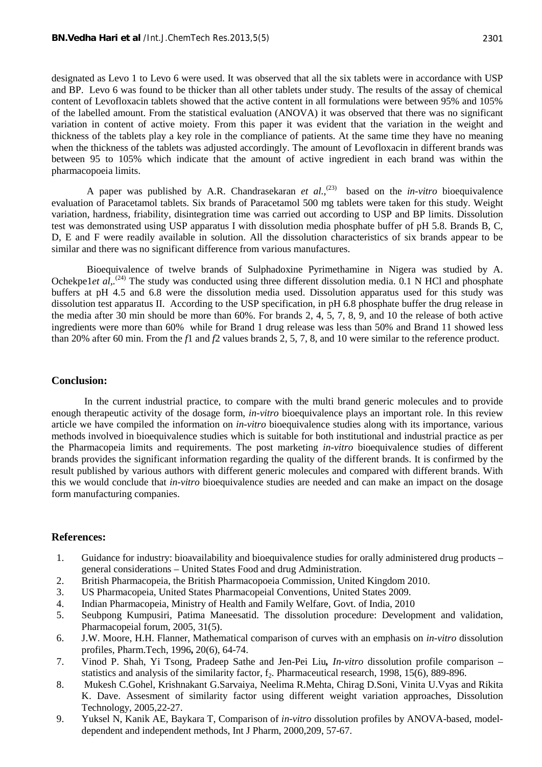designated as Levo 1 to Levo 6 were used. It was observed that all the six tablets were in accordance with USP and BP. Levo 6 was found to be thicker than all other tablets under study. The results of the assay of chemical content of Levofloxacin tablets showed that the active content in all formulations were between 95% and 105% of the labelled amount. From the statistical evaluation (ANOVA) it was observed that there was no significant variation in content of active moiety. From this paper it was evident that the variation in the weight and thickness of the tablets play a key role in the compliance of patients. At the same time they have no meaning when the thickness of the tablets was adjusted accordingly. The amount of Levofloxacin in different brands was between 95 to 105% which indicate that the amount of active ingredient in each brand was within the pharmacopoeia limits.

A paper was published by A.R. Chandrasekaran *et al.*,<sup>(23)</sup> based on the *in-vitro* bioequivalence evaluation of Paracetamol tablets. Six brands of Paracetamol 500 mg tablets were taken for this study. Weight variation, hardness, friability, disintegration time was carried out according to USP and BP limits. Dissolution test was demonstrated using USP apparatus I with dissolution media phosphate buffer of pH 5.8. Brands B, C, D, E and F were readily available in solution. All the dissolution characteristics of six brands appear to be similar and there was no significant difference from various manufactures.

 Bioequivalence of twelve brands of Sulphadoxine Pyrimethamine in Nigera was studied by A. Ochekpe1*et al.*<sup>(24)</sup> The study was conducted using three different dissolution media. 0.1 N HCl and phosphate buffers at pH 4.5 and 6.8 were the dissolution media used. Dissolution apparatus used for this study was dissolution test apparatus II. According to the USP specification, in pH 6.8 phosphate buffer the drug release in the media after 30 min should be more than 60%. For brands 2, 4, 5, 7, 8, 9, and 10 the release of both active ingredients were more than 60% while for Brand 1 drug release was less than 50% and Brand 11 showed less than 20% after 60 min. From the *f*1 and *f*2 values brands 2, 5, 7, 8, and 10 were similar to the reference product.

#### **Conclusion:**

In the current industrial practice, to compare with the multi brand generic molecules and to provide enough therapeutic activity of the dosage form, *in-vitro* bioequivalence plays an important role. In this review article we have compiled the information on *in-vitro* bioequivalence studies along with its importance, various methods involved in bioequivalence studies which is suitable for both institutional and industrial practice as per the Pharmacopeia limits and requirements. The post marketing *in-vitro* bioequivalence studies of different brands provides the significant information regarding the quality of the different brands. It is confirmed by the result published by various authors with different generic molecules and compared with different brands. With this we would conclude that *in-vitro* bioequivalence studies are needed and can make an impact on the dosage form manufacturing companies.

## **References:**

- 1. Guidance for industry: bioavailability and bioequivalence studies for orally administered drug products general considerations – United States Food and drug Administration.
- 2. British Pharmacopeia, the British Pharmacopoeia Commission, United Kingdom 2010.
- 3. US Pharmacopeia, United States Pharmacopeial Conventions, United States 2009.
- 4. Indian Pharmacopeia, Ministry of Health and Family Welfare, Govt. of India, 2010
- 5. Seubpong Kumpusiri, Patima Maneesatid. The dissolution procedure: Development and validation, Pharmacopeial forum, 2005, 31(5).
- 6. J.W. Moore, H.H. Flanner, Mathematical comparison of curves with an emphasis on *in-vitro* dissolution profiles, Pharm.Tech, 1996**,** 20(6), 64-74.
- 7. Vinod P. Shah, Yi Tsong, Pradeep Sathe and Jen-Pei Liu*, In-vitro* dissolution profile comparison statistics and analysis of the similarity factor,  $f_2$ . Pharmaceutical research, 1998, 15(6), 889-896.
- 8. Mukesh C.Gohel, Krishnakant G.Sarvaiya, Neelima R.Mehta, Chirag D.Soni, Vinita U.Vyas and Rikita K. Dave. Assesment of similarity factor using different weight variation approaches, Dissolution Technology, 2005,22-27.
- 9. Yuksel N, Kanik AE, Baykara T, Comparison of *in-vitro* dissolution profiles by ANOVA-based, model dependent and independent methods, Int J Pharm, 2000,209, 57-67.